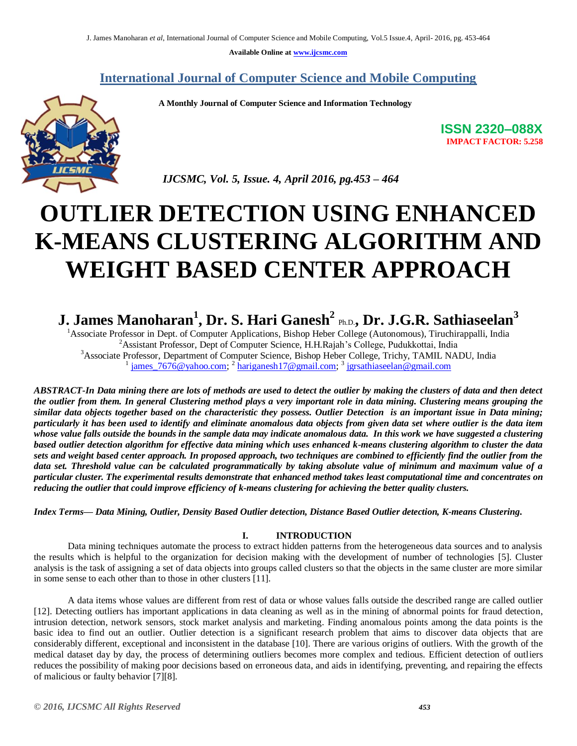**Available Online at www.ijcsmc.com**

# **International Journal of Computer Science and Mobile Computing**

 **A Monthly Journal of Computer Science and Information Technology**



**ISSN 2320–088X IMPACT FACTOR: 5.258**

 *IJCSMC, Vol. 5, Issue. 4, April 2016, pg.453 – 464*

# **OUTLIER DETECTION USING ENHANCED K-MEANS CLUSTERING ALGORITHM AND WEIGHT BASED CENTER APPROACH**

# **J. James Manoharan<sup>1</sup> , Dr. S. Hari Ganesh<sup>2</sup>** Ph.D.**, Dr. J.G.R. Sathiaseelan<sup>3</sup>**

<sup>1</sup>Associate Professor in Dept. of Computer Applications, Bishop Heber College (Autonomous), Tiruchirappalli, India <sup>2</sup> Assistant Professor, Dept of Computer Science, H.H.Rajah's College, Pudukkottai, India <sup>3</sup>Associate Professor, Department of Computer Science, Bishop Heber College, Trichy, TAMIL NADU, India <sup>1</sup> james\_7676@yahoo.com; <sup>2</sup> hariganesh17@gmail.com; <sup>3</sup> jgrsathiaseelan@gmail.com

*ABSTRACT-In Data mining there are lots of methods are used to detect the outlier by making the clusters of data and then detect the outlier from them. In general Clustering method plays a very important role in data mining. Clustering means grouping the similar data objects together based on the characteristic they possess. Outlier Detection is an important issue in Data mining; particularly it has been used to identify and eliminate anomalous data objects from given data set where outlier is the data item whose value falls outside the bounds in the sample data may indicate anomalous data. In this work we have suggested a clustering based outlier detection algorithm for effective data mining which uses enhanced k-means clustering algorithm to cluster the data sets and weight based center approach. In proposed approach, two techniques are combined to efficiently find the outlier from the data set. Threshold value can be calculated programmatically by taking absolute value of minimum and maximum value of a particular cluster. The experimental results demonstrate that enhanced method takes least computational time and concentrates on reducing the outlier that could improve efficiency of k-means clustering for achieving the better quality clusters.*

*Index Terms— Data Mining, Outlier, Density Based Outlier detection, Distance Based Outlier detection, K-means Clustering***.**

### **I. INTRODUCTION**

Data mining techniques automate the process to extract hidden patterns from the heterogeneous data sources and to analysis the results which is helpful to the organization for decision making with the development of number of technologies [5]. Cluster analysis is the task of assigning a set of data objects into groups called clusters so that the objects in the same cluster are more similar in some sense to each other than to those in other clusters [11].

A data items whose values are different from rest of data or whose values falls outside the described range are called outlier [12]. Detecting outliers has important applications in data cleaning as well as in the mining of abnormal points for fraud detection, intrusion detection, network sensors, stock market analysis and marketing. Finding anomalous points among the data points is the basic idea to find out an outlier. Outlier detection is a significant research problem that aims to discover data objects that are considerably different, exceptional and inconsistent in the database [10]. There are various origins of outliers. With the growth of the medical dataset day by day, the process of determining outliers becomes more complex and tedious. Efficient detection of outliers reduces the possibility of making poor decisions based on erroneous data, and aids in identifying, preventing, and repairing the effects of malicious or faulty behavior [7][8].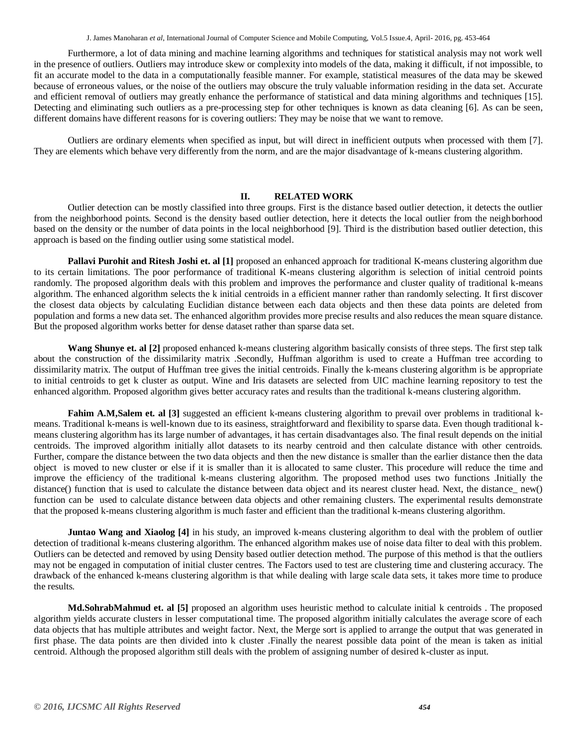Furthermore, a lot of data mining and machine learning algorithms and techniques for statistical analysis may not work well in the presence of outliers. Outliers may introduce skew or complexity into models of the data, making it difficult, if not impossible, to fit an accurate model to the data in a computationally feasible manner. For example, statistical measures of the data may be skewed because of erroneous values, or the noise of the outliers may obscure the truly valuable information residing in the data set. Accurate and efficient removal of outliers may greatly enhance the performance of statistical and data mining algorithms and techniques [15]. Detecting and eliminating such outliers as a pre-processing step for other techniques is known as data cleaning [6]. As can be seen, different domains have different reasons for is covering outliers: They may be noise that we want to remove.

Outliers are ordinary elements when specified as input, but will direct in inefficient outputs when processed with them [7]. They are elements which behave very differently from the norm, and are the major disadvantage of k-means clustering algorithm.

#### **II. RELATED WORK**

Outlier detection can be mostly classified into three groups. First is the distance based outlier detection, it detects the outlier from the neighborhood points. Second is the density based outlier detection, here it detects the local outlier from the neighborhood based on the density or the number of data points in the local neighborhood [9]. Third is the distribution based outlier detection, this approach is based on the finding outlier using some statistical model.

**Pallavi Purohit and Ritesh Joshi et. al [1]** proposed an enhanced approach for traditional K-means clustering algorithm due to its certain limitations. The poor performance of traditional K-means clustering algorithm is selection of initial centroid points randomly. The proposed algorithm deals with this problem and improves the performance and cluster quality of traditional k-means algorithm. The enhanced algorithm selects the k initial centroids in a efficient manner rather than randomly selecting. It first discover the closest data objects by calculating Euclidian distance between each data objects and then these data points are deleted from population and forms a new data set. The enhanced algorithm provides more precise results and also reduces the mean square distance. But the proposed algorithm works better for dense dataset rather than sparse data set.

**Wang Shunye et. al [2]** proposed enhanced k-means clustering algorithm basically consists of three steps. The first step talk about the construction of the dissimilarity matrix .Secondly, Huffman algorithm is used to create a Huffman tree according to dissimilarity matrix. The output of Huffman tree gives the initial centroids. Finally the k-means clustering algorithm is be appropriate to initial centroids to get k cluster as output. Wine and Iris datasets are selected from UIC machine learning repository to test the enhanced algorithm. Proposed algorithm gives better accuracy rates and results than the traditional k-means clustering algorithm.

**Fahim A.M,Salem et. al [3]** suggested an efficient k-means clustering algorithm to prevail over problems in traditional kmeans. Traditional k-means is well-known due to its easiness, straightforward and flexibility to sparse data. Even though traditional kmeans clustering algorithm has its large number of advantages, it has certain disadvantages also. The final result depends on the initial centroids. The improved algorithm initially allot datasets to its nearby centroid and then calculate distance with other centroids. Further, compare the distance between the two data objects and then the new distance is smaller than the earlier distance then the data object is moved to new cluster or else if it is smaller than it is allocated to same cluster. This procedure will reduce the time and improve the efficiency of the traditional k-means clustering algorithm. The proposed method uses two functions .Initially the distance() function that is used to calculate the distance between data object and its nearest cluster head. Next, the distance\_ new() function can be used to calculate distance between data objects and other remaining clusters. The experimental results demonstrate that the proposed k-means clustering algorithm is much faster and efficient than the traditional k-means clustering algorithm.

**Juntao Wang and Xiaolog [4]** in his study, an improved k-means clustering algorithm to deal with the problem of outlier detection of traditional k-means clustering algorithm. The enhanced algorithm makes use of noise data filter to deal with this problem. Outliers can be detected and removed by using Density based outlier detection method. The purpose of this method is that the outliers may not be engaged in computation of initial cluster centres. The Factors used to test are clustering time and clustering accuracy. The drawback of the enhanced k-means clustering algorithm is that while dealing with large scale data sets, it takes more time to produce the results.

**Md.SohrabMahmud et. al [5]** proposed an algorithm uses heuristic method to calculate initial k centroids . The proposed algorithm yields accurate clusters in lesser computational time. The proposed algorithm initially calculates the average score of each data objects that has multiple attributes and weight factor. Next, the Merge sort is applied to arrange the output that was generated in first phase. The data points are then divided into k cluster .Finally the nearest possible data point of the mean is taken as initial centroid. Although the proposed algorithm still deals with the problem of assigning number of desired k-cluster as input.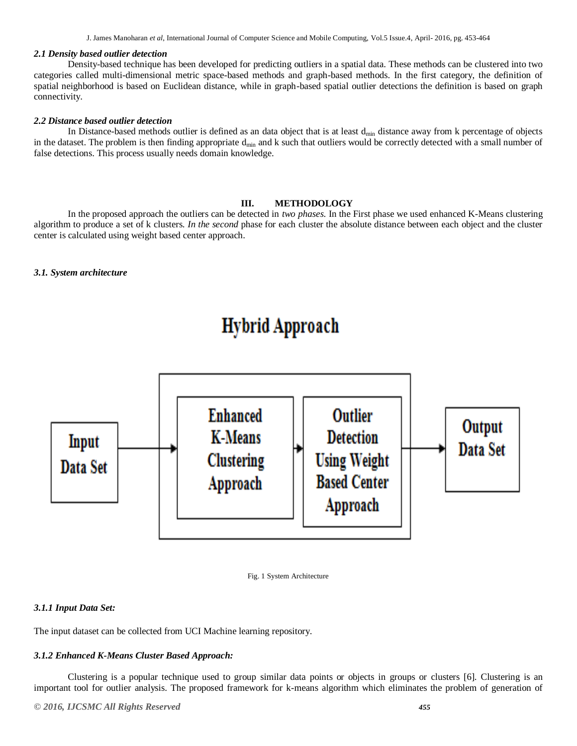J. James Manoharan *et al*, International Journal of Computer Science and Mobile Computing, Vol.5 Issue.4, April- 2016, pg. 453-464

#### *2.1 Density based outlier detection*

Density-based technique has been developed for predicting outliers in a spatial data. These methods can be clustered into two categories called multi-dimensional metric space-based methods and graph-based methods. In the first category, the definition of spatial neighborhood is based on Euclidean distance, while in graph-based spatial outlier detections the definition is based on graph connectivity.

#### *2.2 Distance based outlier detection*

In Distance-based methods outlier is defined as an data object that is at least  $d_{min}$  distance away from k percentage of objects in the dataset. The problem is then finding appropriate  $d_{min}$  and k such that outliers would be correctly detected with a small number of false detections. This process usually needs domain knowledge.

#### **III. METHODOLOGY**

In the proposed approach the outliers can be detected in *two phases.* In the First phase we used enhanced K-Means clustering algorithm to produce a set of k clusters. *In the second* phase for each cluster the absolute distance between each object and the cluster center is calculated using weight based center approach.

#### *3.1. System architecture*

# **Hybrid Approach**





#### *3.1.1 Input Data Set:*

The input dataset can be collected from UCI Machine learning repository.

#### *3.1.2 Enhanced K-Means Cluster Based Approach:*

Clustering is a popular technique used to group similar data points or objects in groups or clusters [6]. Clustering is an important tool for outlier analysis. The proposed framework for k-means algorithm which eliminates the problem of generation of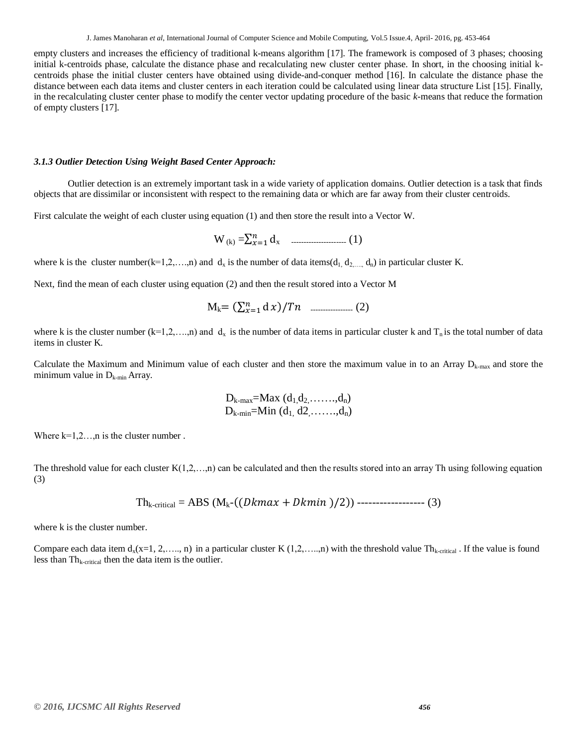empty clusters and increases the efficiency of traditional k-means algorithm [17]. The framework is composed of 3 phases; choosing initial k-centroids phase, calculate the distance phase and recalculating new cluster center phase. In short, in the choosing initial kcentroids phase the initial cluster centers have obtained using divide-and-conquer method [16]. In calculate the distance phase the distance between each data items and cluster centers in each iteration could be calculated using linear data structure List [15]. Finally, in the recalculating cluster center phase to modify the center vector updating procedure of the basic *k*-means that reduce the formation of empty clusters [17].

#### *3.1.3 Outlier Detection Using Weight Based Center Approach:*

Outlier detection is an extremely important task in a wide variety of application domains. Outlier detection is a task that finds objects that are dissimilar or inconsistent with respect to the remaining data or which are far away from their cluster centroids.

First calculate the weight of each cluster using equation (1) and then store the result into a Vector W.

W(k) =∑ x ---------------------- (1)

where k is the cluster number(k=1,2,…,n) and  $d_x$  is the number of data items( $d_1, d_2, ..., d_n$ ) in particular cluster K.

Next, find the mean of each cluster using equation (2) and then the result stored into a Vector M

Mk (∑ ) ----------------- (2)

where k is the cluster number  $(k=1,2,...,n)$  and  $d_x$  is the number of data items in particular cluster k and  $T_n$  is the total number of data items in cluster K.

Calculate the Maximum and Minimum value of each cluster and then store the maximum value in to an Array  $D_{k\text{-max}}$  and store the minimum value in  $D_{k-min}$  Array.

$$
D_{k-max} = Max (d_1, d_2, \ldots, d_n)
$$
  

$$
D_{k-min} = Min (d_1, d_2, \ldots, d_n)
$$

Where  $k=1,2,...,n$  is the cluster number.

The threshold value for each cluster  $K(1,2,...,n)$  can be calculated and then the results stored into an array Th using following equation (3)

$$
Th_{k-critical} = ABS (M_{k}-((Dkmax + Dkmin)/2))
$$
-----(3)

where k is the cluster number.

Compare each data item  $d_x(x=1, 2, \ldots, n)$  in a particular cluster K  $(1, 2, \ldots, n)$  with the threshold value Th<sub>k-critical</sub>. If the value is found less than  $Th_{k-critical}$  then the data item is the outlier.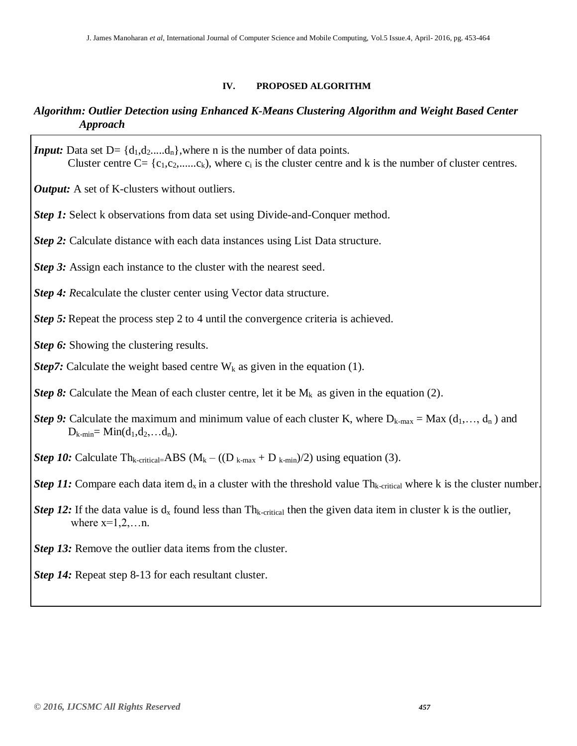### **IV. PROPOSED ALGORITHM**

# *Algorithm: Outlier Detection using Enhanced K-Means Clustering Algorithm and Weight Based Center Approach*

*Input:* Data set  $D = \{d_1, d_2, \ldots, d_n\}$ , where n is the number of data points. Cluster centre  $C = \{c_1, c_2, \dots, c_k\}$ , where  $c_i$  is the cluster centre and k is the number of cluster centres.

*Output:* A set of K-clusters without outliers.

- *Step 1:* Select k observations from data set using Divide-and-Conquer method.
- *Step 2:* Calculate distance with each data instances using List Data structure.
- *Step 3:* Assign each instance to the cluster with the nearest seed.

*Step 4: R*ecalculate the cluster center using Vector data structure.

*Step 5:* Repeat the process step 2 to 4 until the convergence criteria is achieved.

*Step 6:* Showing the clustering results.

*Step7*: Calculate the weight based centre  $W_k$  as given in the equation (1).

*Step 8:* Calculate the Mean of each cluster centre, let it be  $M_k$  as given in the equation (2).

- *Step 9:* Calculate the maximum and minimum value of each cluster K, where  $D_{k-max} = Max (d_1,..., d_n)$  and  $D_{k-min} = Min(d_1, d_2, ... d_n).$
- *Step 10:* Calculate Th<sub>k-critical=ABS ( $M_k ((D_{k-max} + D_{k-min})/2)$  using equation (3).</sub>
- *Step 11:* Compare each data item  $d_x$  in a cluster with the threshold value  $Th_{k\text{-critical}}$  where k is the cluster number.
- *Step 12:* If the data value is  $d_x$  found less than Th<sub>k-critical</sub> then the given data item in cluster k is the outlier, where  $x=1,2,...n$ .
- *Step 13:* Remove the outlier data items from the cluster.

*Step 14:* Repeat step 8-13 for each resultant cluster.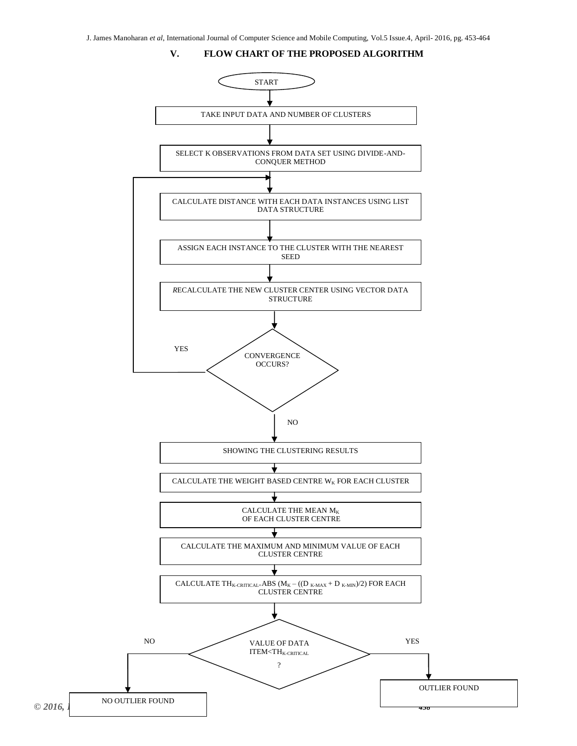**V. FLOW CHART OF THE PROPOSED ALGORITHM**

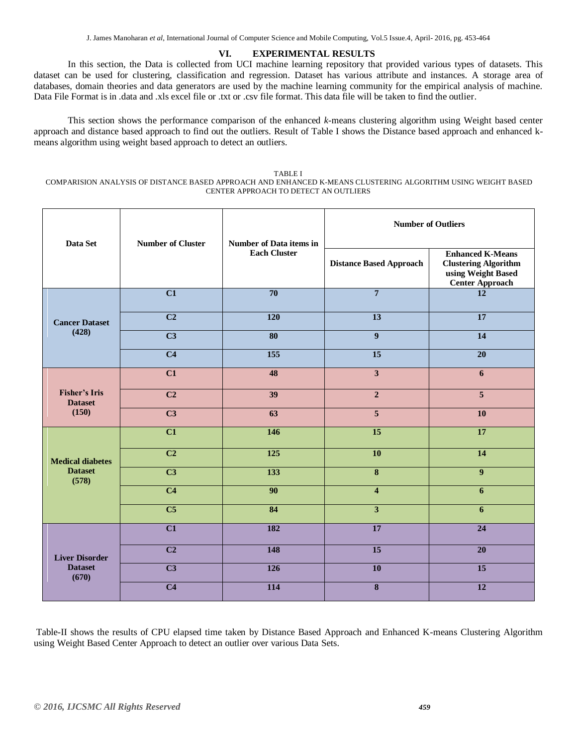#### **VI. EXPERIMENTAL RESULTS**

In this section, the Data is collected from UCI machine learning repository that provided various types of datasets. This dataset can be used for clustering, classification and regression. Dataset has various attribute and instances. A storage area of databases, domain theories and data generators are used by the machine learning community for the empirical analysis of machine. Data File Format is in .data and .xls excel file or .txt or .csv file format. This data file will be taken to find the outlier.

This section shows the performance comparison of the enhanced *k*-means clustering algorithm using Weight based center approach and distance based approach to find out the outliers. Result of Table I shows the Distance based approach and enhanced kmeans algorithm using weight based approach to detect an outliers.

TABLE I COMPARISION ANALYSIS OF DISTANCE BASED APPROACH AND ENHANCED K-MEANS CLUSTERING ALGORITHM USING WEIGHT BASED CENTER APPROACH TO DETECT AN OUTLIERS

| Data Set                                           | <b>Number of Cluster</b> | <b>Number of Data items in</b><br><b>Each Cluster</b> | <b>Number of Outliers</b>      |                                                                                                        |
|----------------------------------------------------|--------------------------|-------------------------------------------------------|--------------------------------|--------------------------------------------------------------------------------------------------------|
|                                                    |                          |                                                       | <b>Distance Based Approach</b> | <b>Enhanced K-Means</b><br><b>Clustering Algorithm</b><br>using Weight Based<br><b>Center Approach</b> |
| <b>Cancer Dataset</b><br>(428)                     | $\overline{C1}$          | $\overline{70}$                                       | $\overline{7}$                 | $\overline{12}$                                                                                        |
|                                                    | $\overline{C2}$          | 120                                                   | $\overline{13}$                | $\overline{17}$                                                                                        |
|                                                    | $\overline{C3}$          | $\overline{\bf 80}$                                   | $\overline{9}$                 | $\overline{14}$                                                                                        |
|                                                    | $\overline{C4}$          | 155                                                   | $\overline{15}$                | $\overline{20}$                                                                                        |
| <b>Fisher's Iris</b><br><b>Dataset</b><br>(150)    | $\overline{C1}$          | 48                                                    | $\overline{\mathbf{3}}$        | 6                                                                                                      |
|                                                    | $\overline{C2}$          | $\overline{39}$                                       | $\overline{2}$                 | $\overline{5}$                                                                                         |
|                                                    | $\overline{\text{C3}}$   | 63                                                    | $\overline{\mathbf{5}}$        | <b>10</b>                                                                                              |
| <b>Medical diabetes</b><br><b>Dataset</b><br>(578) | $\overline{C1}$          | 146                                                   | $\overline{15}$                | $\overline{17}$                                                                                        |
|                                                    | $\overline{C2}$          | $\overline{125}$                                      | 10                             | 14                                                                                                     |
|                                                    | $\overline{C3}$          | $\overline{133}$                                      | $\overline{\bf 8}$             | $\overline{9}$                                                                                         |
|                                                    | C <sub>4</sub>           | 90                                                    | $\overline{\mathbf{4}}$        | 6                                                                                                      |
|                                                    | $\overline{\text{C5}}$   | 84                                                    | $\overline{\mathbf{3}}$        | 6                                                                                                      |
| <b>Liver Disorder</b><br><b>Dataset</b><br>(670)   | $\overline{C1}$          | 182                                                   | $\overline{17}$                | $\overline{24}$                                                                                        |
|                                                    | $\overline{C2}$          | 148                                                   | $\overline{15}$                | $\overline{20}$                                                                                        |
|                                                    | $\overline{\mathbf{C3}}$ | $\overline{126}$                                      | 10                             | $\overline{15}$                                                                                        |
|                                                    | $\overline{C4}$          | $\overline{114}$                                      | $\overline{\bf 8}$             | $\overline{12}$                                                                                        |

Table-II shows the results of CPU elapsed time taken by Distance Based Approach and Enhanced K-means Clustering Algorithm using Weight Based Center Approach to detect an outlier over various Data Sets.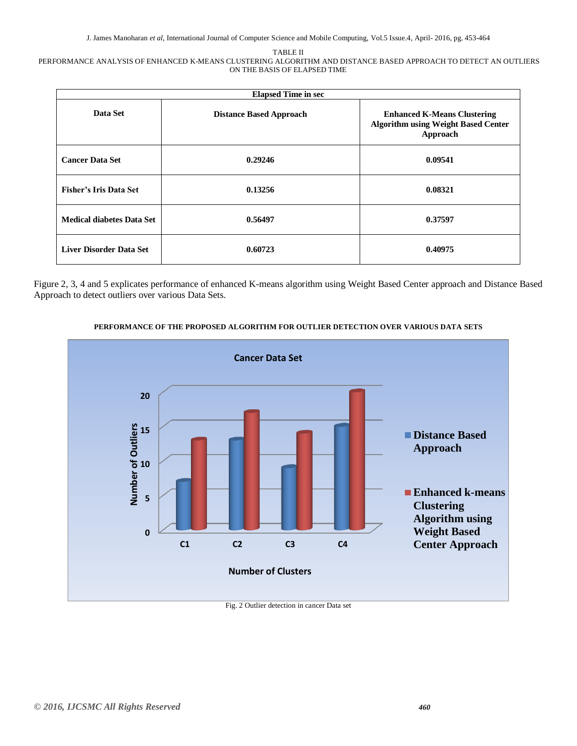#### TABLE II

#### PERFORMANCE ANALYSIS OF ENHANCED K-MEANS CLUSTERING ALGORITHM AND DISTANCE BASED APPROACH TO DETECT AN OUTLIERS ON THE BASIS OF ELAPSED TIME

| <b>Elapsed Time in sec</b>       |                                |                                                                                              |  |  |  |
|----------------------------------|--------------------------------|----------------------------------------------------------------------------------------------|--|--|--|
| Data Set                         | <b>Distance Based Approach</b> | <b>Enhanced K-Means Clustering</b><br><b>Algorithm using Weight Based Center</b><br>Approach |  |  |  |
| <b>Cancer Data Set</b>           | 0.29246                        | 0.09541                                                                                      |  |  |  |
| <b>Fisher's Iris Data Set</b>    | 0.13256                        | 0.08321                                                                                      |  |  |  |
| <b>Medical diabetes Data Set</b> | 0.56497                        | 0.37597                                                                                      |  |  |  |
| <b>Liver Disorder Data Set</b>   | 0.60723                        | 0.40975                                                                                      |  |  |  |

Figure 2, 3, 4 and 5 explicates performance of enhanced K-means algorithm using Weight Based Center approach and Distance Based Approach to detect outliers over various Data Sets.



#### **PERFORMANCE OF THE PROPOSED ALGORITHM FOR OUTLIER DETECTION OVER VARIOUS DATA SETS**

Fig. 2 Outlier detection in cancer Data set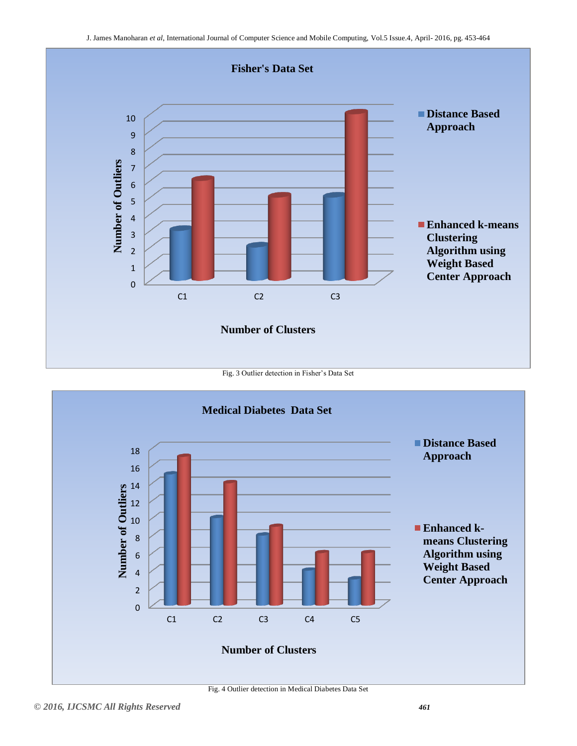

Fig. 3 Outlier detection in Fisher's Data Set



Fig. 4 Outlier detection in Medical Diabetes Data Set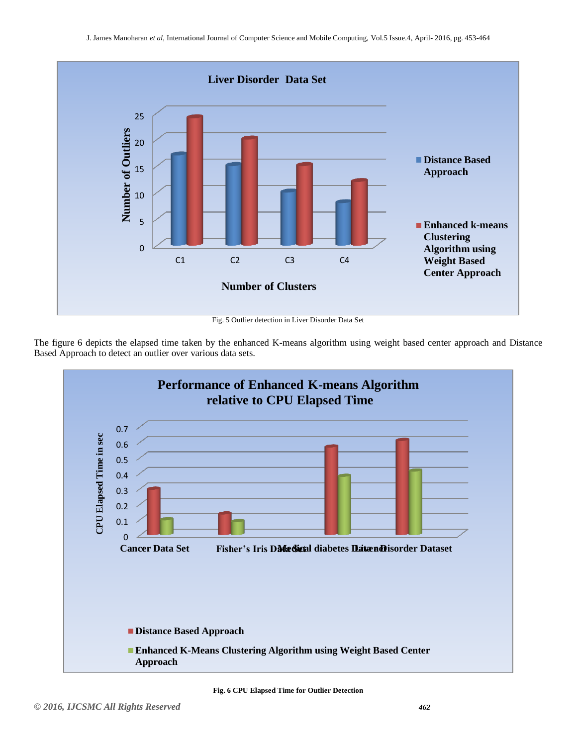

The figure 6 depicts the elapsed time taken by the enhanced K-means algorithm using weight based center approach and Distance Based Approach to detect an outlier over various data sets.



**Fig. 6 CPU Elapsed Time for Outlier Detection**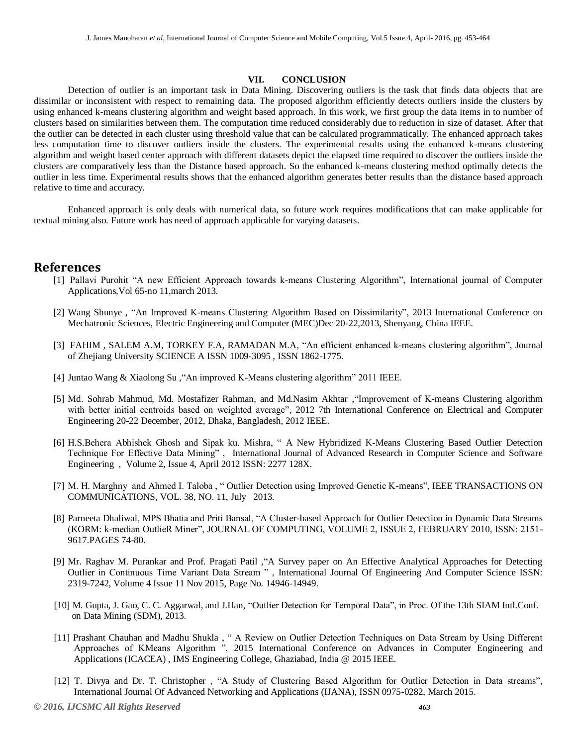#### **VII. CONCLUSION**

Detection of outlier is an important task in Data Mining. Discovering outliers is the task that finds data objects that are dissimilar or inconsistent with respect to remaining data. The proposed algorithm efficiently detects outliers inside the clusters by using enhanced k-means clustering algorithm and weight based approach. In this work, we first group the data items in to number of clusters based on similarities between them. The computation time reduced considerably due to reduction in size of dataset. After that the outlier can be detected in each cluster using threshold value that can be calculated programmatically. The enhanced approach takes less computation time to discover outliers inside the clusters. The experimental results using the enhanced k-means clustering algorithm and weight based center approach with different datasets depict the elapsed time required to discover the outliers inside the clusters are comparatively less than the Distance based approach. So the enhanced k-means clustering method optimally detects the outlier in less time. Experimental results shows that the enhanced algorithm generates better results than the distance based approach relative to time and accuracy.

Enhanced approach is only deals with numerical data, so future work requires modifications that can make applicable for textual mining also. Future work has need of approach applicable for varying datasets.

## **References**

- [1] Pallavi Purohit "A new Efficient Approach towards k-means Clustering Algorithm", International journal of Computer Applications,Vol 65-no 11,march 2013.
- [2] Wang Shunye , "An Improved K-means Clustering Algorithm Based on Dissimilarity", 2013 International Conference on Mechatronic Sciences, Electric Engineering and Computer (MEC)Dec 20-22,2013, Shenyang, China IEEE.
- [3] FAHIM , SALEM A.M, TORKEY F.A, RAMADAN M.A, "An efficient enhanced k-means clustering algorithm", Journal of Zhejiang University SCIENCE A ISSN 1009-3095 , ISSN 1862-1775.
- [4] Juntao Wang & Xiaolong Su ,"An improved K-Means clustering algorithm" 2011 IEEE.
- [5] Md. Sohrab Mahmud, Md. Mostafizer Rahman, and Md.Nasim Akhtar ,"Improvement of K-means Clustering algorithm with better initial centroids based on weighted average", 2012 7th International Conference on Electrical and Computer Engineering 20-22 December, 2012, Dhaka, Bangladesh, 2012 IEEE.
- [6] H.S.Behera Abhishek Ghosh and Sipak ku. Mishra, " A New Hybridized K-Means Clustering Based Outlier Detection Technique For Effective Data Mining" , International Journal of Advanced Research in Computer Science and Software Engineering , Volume 2, Issue 4, April 2012 ISSN: 2277 128X.
- [7] M. H. Marghny and Ahmed I. Taloba , " Outlier Detection using Improved Genetic K-means", IEEE TRANSACTIONS ON COMMUNICATIONS, VOL. 38, NO. 11, July 2013.
- [8] Parneeta Dhaliwal, MPS Bhatia and Priti Bansal, "A Cluster-based Approach for Outlier Detection in Dynamic Data Streams (KORM: k-median OutlieR Miner", JOURNAL OF COMPUTING, VOLUME 2, ISSUE 2, FEBRUARY 2010, ISSN: 2151- 9617.PAGES 74-80.
- [9] Mr. Raghav M. Purankar and Prof. Pragati Patil ,"A Survey paper on An Effective Analytical Approaches for Detecting Outlier in Continuous Time Variant Data Stream " , International Journal Of Engineering And Computer Science ISSN: 2319-7242, Volume 4 Issue 11 Nov 2015, Page No. 14946-14949.
- [10] M. Gupta, J. Gao, C. C. Aggarwal, and J.Han, "Outlier Detection for Temporal Data", in Proc. Of the 13th SIAM Intl.Conf. on Data Mining (SDM), 2013.
- [11] Prashant Chauhan and Madhu Shukla , " A Review on Outlier Detection Techniques on Data Stream by Using Different Approaches of KMeans Algorithm ", 2015 International Conference on Advances in Computer Engineering and Applications (ICACEA) , IMS Engineering College, Ghaziabad, India @ 2015 IEEE.
- [12] T. Divya and Dr. T. Christopher , "A Study of Clustering Based Algorithm for Outlier Detection in Data streams", International Journal Of Advanced Networking and Applications (IJANA), ISSN 0975-0282, March 2015.